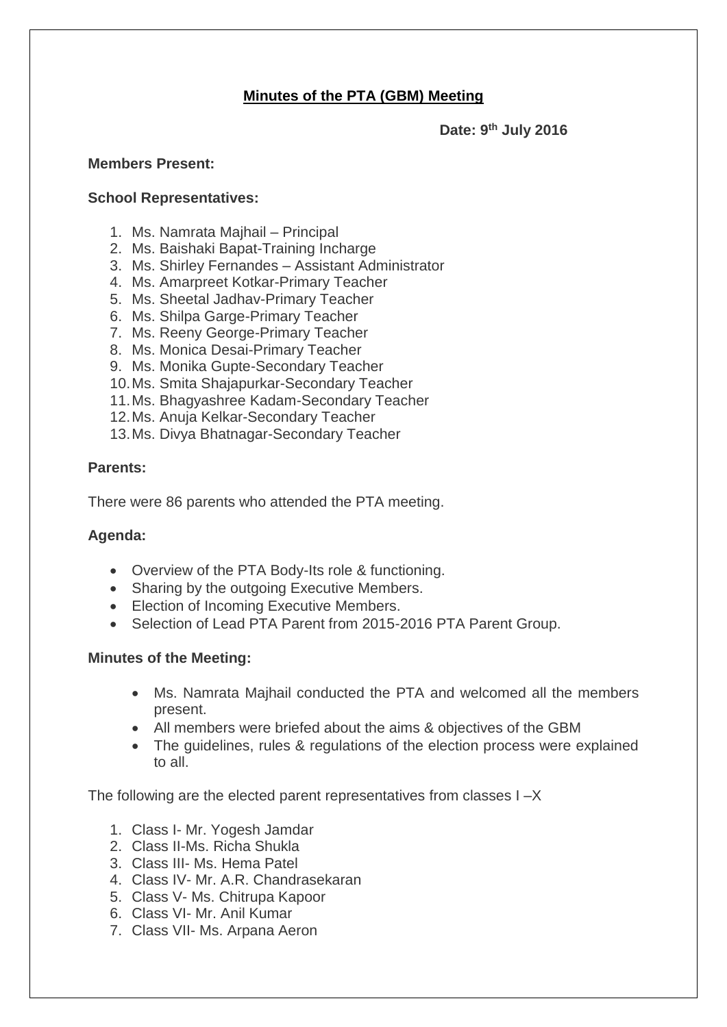# **Minutes of the PTA (GBM) Meeting**

**Date: 9 th July 2016**

### **Members Present:**

### **School Representatives:**

- 1. Ms. Namrata Majhail Principal
- 2. Ms. Baishaki Bapat-Training Incharge
- 3. Ms. Shirley Fernandes Assistant Administrator
- 4. Ms. Amarpreet Kotkar-Primary Teacher
- 5. Ms. Sheetal Jadhav-Primary Teacher
- 6. Ms. Shilpa Garge-Primary Teacher
- 7. Ms. Reeny George-Primary Teacher
- 8. Ms. Monica Desai-Primary Teacher
- 9. Ms. Monika Gupte-Secondary Teacher
- 10.Ms. Smita Shajapurkar-Secondary Teacher
- 11.Ms. Bhagyashree Kadam-Secondary Teacher
- 12.Ms. Anuja Kelkar-Secondary Teacher
- 13.Ms. Divya Bhatnagar-Secondary Teacher

# **Parents:**

There were 86 parents who attended the PTA meeting.

# **Agenda:**

- Overview of the PTA Body-Its role & functioning.
- Sharing by the outgoing Executive Members.
- Election of Incoming Executive Members.
- Selection of Lead PTA Parent from 2015-2016 PTA Parent Group.

#### **Minutes of the Meeting:**

- Ms. Namrata Majhail conducted the PTA and welcomed all the members present.
- All members were briefed about the aims & objectives of the GBM
- The guidelines, rules & regulations of the election process were explained to all.

The following are the elected parent representatives from classes I –X

- 1. Class I- Mr. Yogesh Jamdar
- 2. Class II-Ms. Richa Shukla
- 3. Class III- Ms. Hema Patel
- 4. Class IV- Mr. A.R. Chandrasekaran
- 5. Class V- Ms. Chitrupa Kapoor
- 6. Class VI- Mr. Anil Kumar
- 7. Class VII- Ms. Arpana Aeron